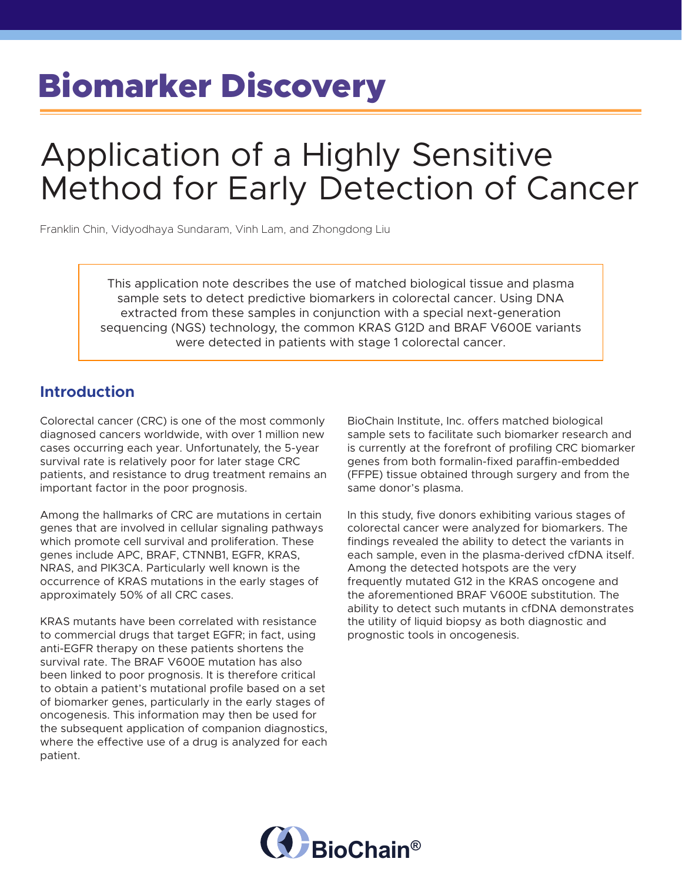# Biomarker Discovery

## Application of a Highly Sensitive Method for Early Detection of Cancer

Franklin Chin, Vidyodhaya Sundaram, Vinh Lam, and Zhongdong Liu

This application note describes the use of matched biological tissue and plasma sample sets to detect predictive biomarkers in colorectal cancer. Using DNA extracted from these samples in conjunction with a special next-generation sequencing (NGS) technology, the common KRAS G12D and BRAF V600E variants were detected in patients with stage 1 colorectal cancer.

### **Introduction**

Colorectal cancer (CRC) is one of the most commonly diagnosed cancers worldwide, with over 1 million new cases occurring each year. Unfortunately, the 5-year survival rate is relatively poor for later stage CRC patients, and resistance to drug treatment remains an important factor in the poor prognosis.

Among the hallmarks of CRC are mutations in certain genes that are involved in cellular signaling pathways which promote cell survival and proliferation. These genes include APC, BRAF, CTNNB1, EGFR, KRAS, NRAS, and PIK3CA. Particularly well known is the occurrence of KRAS mutations in the early stages of approximately 50% of all CRC cases.

KRAS mutants have been correlated with resistance to commercial drugs that target EGFR; in fact, using anti-EGFR therapy on these patients shortens the survival rate. The BRAF V600E mutation has also been linked to poor prognosis. It is therefore critical to obtain a patient's mutational profile based on a set of biomarker genes, particularly in the early stages of oncogenesis. This information may then be used for the subsequent application of companion diagnostics, where the effective use of a drug is analyzed for each patient.

BioChain Institute, Inc. offers matched biological sample sets to facilitate such biomarker research and is currently at the forefront of profiling CRC biomarker genes from both formalin-fixed paraffin-embedded (FFPE) tissue obtained through surgery and from the same donor's plasma.

In this study, five donors exhibiting various stages of colorectal cancer were analyzed for biomarkers. The findings revealed the ability to detect the variants in each sample, even in the plasma-derived cfDNA itself. Among the detected hotspots are the very frequently mutated G12 in the KRAS oncogene and the aforementioned BRAF V600E substitution. The ability to detect such mutants in cfDNA demonstrates the utility of liquid biopsy as both diagnostic and prognostic tools in oncogenesis.

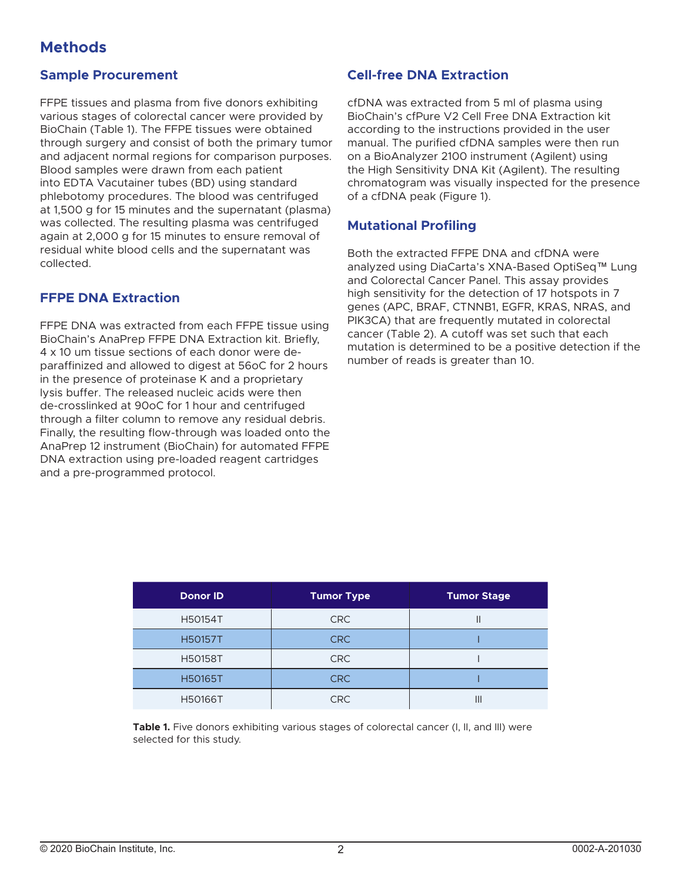## **Methods**

#### **Sample Procurement**

FFPE tissues and plasma from five donors exhibiting various stages of colorectal cancer were provided by BioChain (Table 1). The FFPE tissues were obtained through surgery and consist of both the primary tumor and adjacent normal regions for comparison purposes. Blood samples were drawn from each patient into EDTA Vacutainer tubes (BD) using standard phlebotomy procedures. The blood was centrifuged at 1,500 g for 15 minutes and the supernatant (plasma) was collected. The resulting plasma was centrifuged again at 2,000 g for 15 minutes to ensure removal of residual white blood cells and the supernatant was collected.

#### **FFPE DNA Extraction**

FFPE DNA was extracted from each FFPE tissue using BioChain's AnaPrep FFPE DNA Extraction kit. Briefly, 4 x 10 um tissue sections of each donor were deparaffinized and allowed to digest at 56oC for 2 hours in the presence of proteinase K and a proprietary lysis buffer. The released nucleic acids were then de-crosslinked at 90oC for 1 hour and centrifuged through a filter column to remove any residual debris. Finally, the resulting flow-through was loaded onto the AnaPrep 12 instrument (BioChain) for automated FFPE DNA extraction using pre-loaded reagent cartridges and a pre-programmed protocol.

#### **Cell-free DNA Extraction**

cfDNA was extracted from 5 ml of plasma using BioChain's cfPure V2 Cell Free DNA Extraction kit according to the instructions provided in the user manual. The purified cfDNA samples were then run on a BioAnalyzer 2100 instrument (Agilent) using the High Sensitivity DNA Kit (Agilent). The resulting chromatogram was visually inspected for the presence of a cfDNA peak (Figure 1).

#### **Mutational Profiling**

Both the extracted FFPE DNA and cfDNA were analyzed using DiaCarta's XNA-Based OptiSeq™ Lung and Colorectal Cancer Panel. This assay provides high sensitivity for the detection of 17 hotspots in 7 genes (APC, BRAF, CTNNB1, EGFR, KRAS, NRAS, and PIK3CA) that are frequently mutated in colorectal cancer (Table 2). A cutoff was set such that each mutation is determined to be a positive detection if the number of reads is greater than 10.

| <b>Donor ID</b> | <b>Tumor Type</b> | <b>Tumor Stage</b> |
|-----------------|-------------------|--------------------|
| <b>H50154T</b>  | <b>CRC</b>        |                    |
| <b>H50157T</b>  | <b>CRC</b>        |                    |
| <b>H50158T</b>  | <b>CRC</b>        |                    |
| <b>H50165T</b>  | <b>CRC</b>        |                    |
| <b>H50166T</b>  | <b>CRC</b>        | III                |

Table 1. Five donors exhibiting various stages of colorectal cancer (I, II, and III) were selected for this study.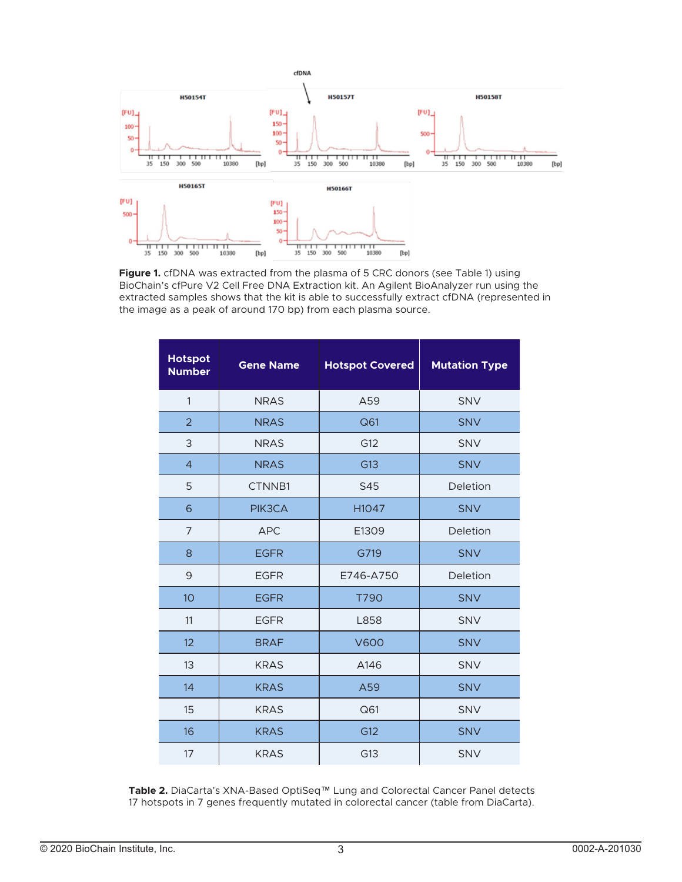

**Figure 1.** cfDNA was extracted from the plasma of 5 CRC donors (see Table 1) using BioChain's cfPure V2 Cell Free DNA Extraction kit. An Agilent BioAnalyzer run using the extracted samples shows that the kit is able to successfully extract cfDNA (represented in the image as a peak of around 170 bp) from each plasma source.

| <b>Hotspot</b><br><b>Number</b> | <b>Gene Name</b> | <b>Hotspot Covered</b> | <b>Mutation Type</b> |
|---------------------------------|------------------|------------------------|----------------------|
| $\mathbf{1}$                    | <b>NRAS</b>      | A59                    | SNV                  |
| $\overline{2}$                  | <b>NRAS</b>      | Q61                    | <b>SNV</b>           |
| 3                               | <b>NRAS</b>      | G12                    | SNV                  |
| $\overline{4}$                  | <b>NRAS</b>      | G13                    | <b>SNV</b>           |
| 5                               | CTNNB1           | S45                    | Deletion             |
| 6                               | PIK3CA           | H1047                  | <b>SNV</b>           |
| 7                               | <b>APC</b>       | E1309                  | Deletion             |
| 8                               | <b>EGFR</b>      | G719                   | <b>SNV</b>           |
| 9                               | <b>EGFR</b>      | E746-A750              | Deletion             |
| 10                              | <b>EGFR</b>      | T790                   | <b>SNV</b>           |
| 11                              | <b>EGFR</b>      | L858                   | SNV                  |
| 12                              | <b>BRAF</b>      | <b>V600</b>            | <b>SNV</b>           |
| 13                              | <b>KRAS</b>      | A146                   | SNV                  |
| 14                              | <b>KRAS</b>      | A59                    | <b>SNV</b>           |
| 15                              | <b>KRAS</b>      | Q61                    | <b>SNV</b>           |
| 16                              | <b>KRAS</b>      | G12                    | <b>SNV</b>           |
| 17                              | <b>KRAS</b>      | G13                    | <b>SNV</b>           |

**Table 2.** DiaCarta's XNA-Based OptiSeq™ Lung and Colorectal Cancer Panel detects 17 hotspots in 7 genes frequently mutated in colorectal cancer (table from DiaCarta).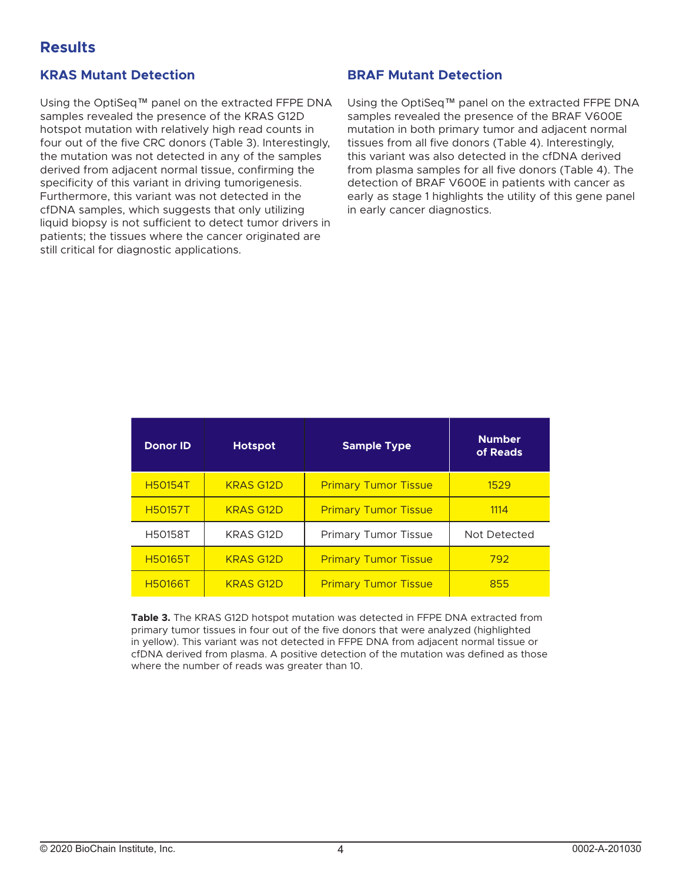## **Results**

#### **KRAS Mutant Detection**

Using the OptiSeq™ panel on the extracted FFPE DNA samples revealed the presence of the KRAS G12D hotspot mutation with relatively high read counts in four out of the five CRC donors (Table 3). Interestingly, the mutation was not detected in any of the samples derived from adjacent normal tissue, confirming the specificity of this variant in driving tumorigenesis. Furthermore, this variant was not detected in the cfDNA samples, which suggests that only utilizing liquid biopsy is not sufficient to detect tumor drivers in patients; the tissues where the cancer originated are still critical for diagnostic applications.

#### **BRAF Mutant Detection**

Using the OptiSeq™ panel on the extracted FFPE DNA samples revealed the presence of the BRAF V600E mutation in both primary tumor and adjacent normal tissues from all five donors (Table 4). Interestingly, this variant was also detected in the cfDNA derived from plasma samples for all five donors (Table 4). The detection of BRAF V600E in patients with cancer as early as stage 1 highlights the utility of this gene panel in early cancer diagnostics.

| <b>Donor ID</b> | <b>Hotspot</b>   | <b>Sample Type</b>          | <b>Number</b><br>of Reads |
|-----------------|------------------|-----------------------------|---------------------------|
| <b>H50154T</b>  | <b>KRAS G12D</b> | <b>Primary Tumor Tissue</b> | 1529                      |
| <b>H50157T</b>  | <b>KRAS G12D</b> | <b>Primary Tumor Tissue</b> | 1114                      |
| <b>H50158T</b>  | <b>KRAS G12D</b> | <b>Primary Tumor Tissue</b> | Not Detected              |
| <b>H50165T</b>  | <b>KRAS G12D</b> | <b>Primary Tumor Tissue</b> | 792                       |
| <b>H50166T</b>  | <b>KRAS G12D</b> | <b>Primary Tumor Tissue</b> | 855                       |

**Table 3.** The KRAS G12D hotspot mutation was detected in FFPE DNA extracted from primary tumor tissues in four out of the five donors that were analyzed (highlighted in yellow). This variant was not detected in FFPE DNA from adjacent normal tissue or cfDNA derived from plasma. A positive detection of the mutation was defined as those where the number of reads was greater than 10.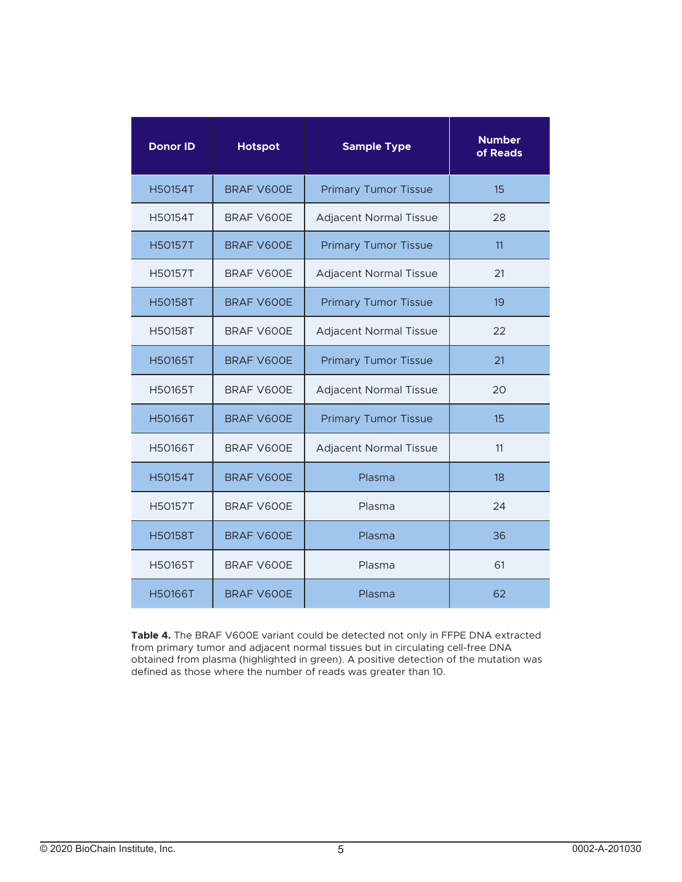| <b>Donor ID</b> | <b>Hotspot</b>    | <b>Sample Type</b>            | <b>Number</b><br>of Reads |
|-----------------|-------------------|-------------------------------|---------------------------|
| H50154T         | <b>BRAF V600E</b> | <b>Primary Tumor Tissue</b>   | 15                        |
| H50154T         | BRAF V600E        | <b>Adjacent Normal Tissue</b> | 28                        |
| <b>H50157T</b>  | BRAF V600E        | <b>Primary Tumor Tissue</b>   | 11                        |
| H50157T         | BRAF V600E        | <b>Adjacent Normal Tissue</b> | 21                        |
| <b>H50158T</b>  | BRAF V600E        | <b>Primary Tumor Tissue</b>   | 19                        |
| <b>H50158T</b>  | BRAF V600E        | <b>Adjacent Normal Tissue</b> | 22                        |
| <b>H50165T</b>  | <b>BRAF V600E</b> | <b>Primary Tumor Tissue</b>   | 21                        |
| H50165T         | BRAF V600E        | Adjacent Normal Tissue        | 20                        |
| <b>H50166T</b>  | <b>BRAF V600E</b> | <b>Primary Tumor Tissue</b>   | 15                        |
| H50166T         | BRAF V600E        | <b>Adjacent Normal Tissue</b> | 11                        |
| <b>H50154T</b>  | BRAF V600E        | Plasma                        | 18                        |
| <b>H50157T</b>  | BRAF V600E        | Plasma                        | 24                        |
| <b>H50158T</b>  | BRAF V600E        | Plasma                        | 36                        |
| H50165T         | BRAF V600E        | Plasma                        | 61                        |
| <b>H50166T</b>  | <b>BRAF V600E</b> | Plasma                        | 62                        |

**Table 4.** The BRAF V600E variant could be detected not only in FFPE DNA extracted from primary tumor and adjacent normal tissues but in circulating cell-free DNA obtained from plasma (highlighted in green). A positive detection of the mutation was defined as those where the number of reads was greater than 10.